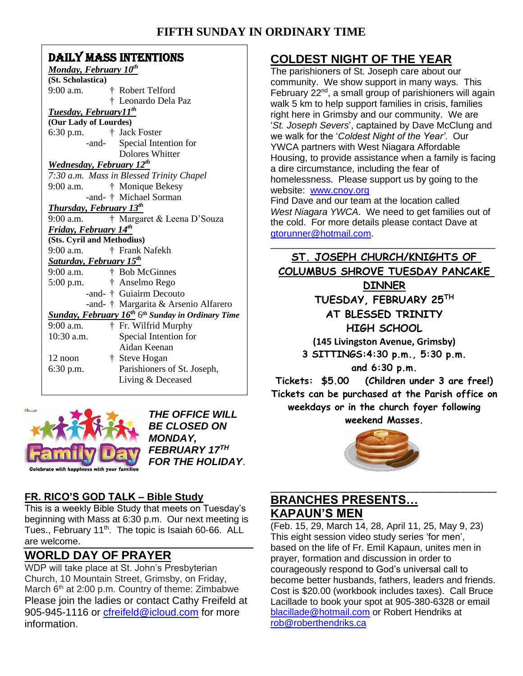## **FIFTH SUNDAY IN ORDINARY TIME**

# DAILY MASS INTENTIONS

| Monday, February 10 <sup>th</sup>                                              |  |  |
|--------------------------------------------------------------------------------|--|--|
|                                                                                |  |  |
| † Robert Telford                                                               |  |  |
| † Leonardo Dela Paz                                                            |  |  |
| <b>Tuesday, February11th</b>                                                   |  |  |
| (Our Lady of Lourdes)                                                          |  |  |
| 6:30 p.m. † Jack Foster                                                        |  |  |
| -and-<br>Special Intention for                                                 |  |  |
| <b>Dolores Whitter</b>                                                         |  |  |
| <b>Wednesday, February 12th</b>                                                |  |  |
| 7:30 a.m. Mass in Blessed Trinity Chapel                                       |  |  |
| † Monique Bekesy                                                               |  |  |
| -and- † Michael Sorman                                                         |  |  |
| Thursday, February 13 <sup>th</sup>                                            |  |  |
| † Margaret & Leena D'Souza                                                     |  |  |
|                                                                                |  |  |
| <b>Friday, February 14th</b><br>(Sts. Cyril and Methodius)                     |  |  |
| † Frank Nafekh                                                                 |  |  |
| <b>Saturday, February 15th</b>                                                 |  |  |
| † Bob McGinnes                                                                 |  |  |
| $5:00 \text{ p.m.}$ $\ddagger$ Anselmo Rego                                    |  |  |
| -and- † Guiairm Decouto                                                        |  |  |
| -and- † Margarita & Arsenio Alfarero                                           |  |  |
| <b>Sunday, February 16<sup>th</sup> 6<sup>th</sup> Sunday in Ordinary Time</b> |  |  |
| † Fr. Wilfrid Murphy                                                           |  |  |
| Special Intention for                                                          |  |  |
| Aidan Keenan                                                                   |  |  |
| † Steve Hogan                                                                  |  |  |
| Parishioners of St. Joseph,                                                    |  |  |
| Living & Deceased                                                              |  |  |
|                                                                                |  |  |
|                                                                                |  |  |



*THE OFFICE WILL BE CLOSED ON MONDAY, FEBRUARY 17TH FOR THE HOLIDAY*.

#### **FR. RICO'S GOD TALK – Bible Study**

This is a weekly Bible Study that meets on Tuesday's beginning with Mass at 6:30 p.m. Our next meeting is Tues., February 11<sup>th</sup>. The topic is Isaiah 60-66. ALL are welcome.

# **WORLD DAY OF PRAYER**

WDP will take place at St. John's Presbyterian Church, 10 Mountain Street, Grimsby, on Friday, March  $6<sup>th</sup>$  at 2:00 p.m. Country of theme: Zimbabwe Please join the ladies or contact Cathy Freifeld at 905-945-1116 or [cfreifeld@icloud.com](mailto:cfreifeld@icloud.com) for more information.

# **COLDEST NIGHT OF THE YEAR**

The parishioners of St. Joseph care about our community. We show support in many ways. This February 22<sup>nd</sup>, a small group of parishioners will again walk 5 km to help support families in crisis, families right here in Grimsby and our community. We are '*St. Joseph Severs*', captained by Dave McClung and we walk for the '*Coldest Night of the Year'*. Our YWCA partners with West Niagara Affordable Housing, to provide assistance when a family is facing a dire circumstance, including the fear of homelessness. Please support us by going to the website: [www.cnoy.org](http://www.cnoy.org/)

Find Dave and our team at the location called *West Niagara YWCA*. We need to get families out of the cold. For more details please contact Dave at [gtorunner@hotmail.com.](mailto:gtorunner@hotmail.com) \_\_\_\_\_\_\_\_\_\_\_\_\_\_\_\_\_\_\_\_\_\_\_\_\_\_\_\_\_\_\_\_\_\_\_\_\_\_\_\_\_\_\_

**ST. JOSEPH CHURCH/KNIGHTS OF COLUMBUS SHROVE TUESDAY PANCAKE DINNER TUESDAY, FEBRUARY 25TH AT BLESSED TRINITY HIGH SCHOOL (145 Livingston Avenue, Grimsby) 3 SITTINGS:4:30 p.m., 5:30 p.m. and 6:30 p.m.**

**Tickets: \$5.00 (Children under 3 are free!) Tickets can be purchased at the Parish office on weekdays or in the church foyer following** 

**weekend Masses.**



### \_\_\_\_\_\_\_\_\_\_\_\_\_\_\_\_\_\_\_\_\_\_\_\_\_\_\_\_\_\_\_\_\_\_ **BRANCHES PRESENTS… KAPAUN'S MEN**

(Feb. 15, 29, March 14, 28, April 11, 25, May 9, 23) This eight session video study series 'for men', based on the life of Fr. Emil Kapaun, unites men in prayer, formation and discussion in order to courageously respond to God's universal call to become better husbands, fathers, leaders and friends. Cost is \$20.00 (workbook includes taxes). Call Bruce Lacillade to book your spot at 905-380-6328 or email [blacillade@hotmail.com](mailto:blacillade@hotmail.com) or Robert Hendriks at [rob@roberthendriks.ca](mailto:rob@roberthendriks.ca)